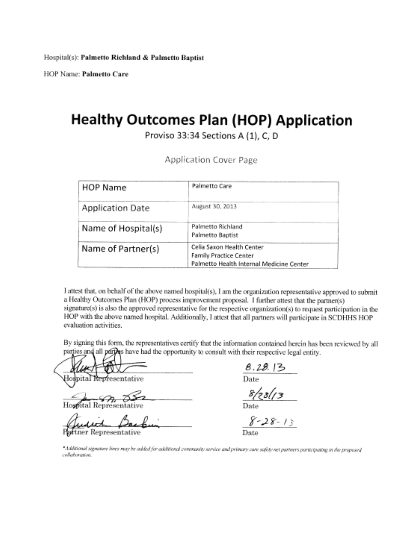HOP Name: Palmetto Care

# **Healthy Outcomes Plan (HOP) Application**

Proviso 33:34 Sections A (1), C, D

Application Cover Page

| <b>HOP Name</b>     | Palmetto Care                                                                                          |
|---------------------|--------------------------------------------------------------------------------------------------------|
| Application Date    | August 30, 2013                                                                                        |
| Name of Hospital(s) | Palmetto Richland<br>Palmetto Baptist                                                                  |
| Name of Partner(s)  | Cella Saxon Health Center<br><b>Family Practice Center</b><br>Palmetto Health Internal Medicine Center |

I attest that, on behalf of the above named hospital(s), I am the organization representative approved to submit a Healthy Outcomes Plan (HOP) process improvement proposal. I further attest that the partner(s) signature(s) is also the approved representative for the respective organization(s) to request participation in the HOP with the above named hospital. Additionally, I attest that all partners will participate in SCDHHS HOP evaluation activities.

By signing this form, the representatives certify that the information contained herein has been reviewed by all parties and all parties have had the opportunity to consult with their respective legal entity.

Hodpital Representative

Hospital Representative

tner Representative

 $rac{8.29.13}{\text{Date}}$ 

 $8/28/13$ 

 $8 - 28 - 13$ 

"Additional signature lines may be added for additional community service and primary care safety net partners participating in the proposed collaboration.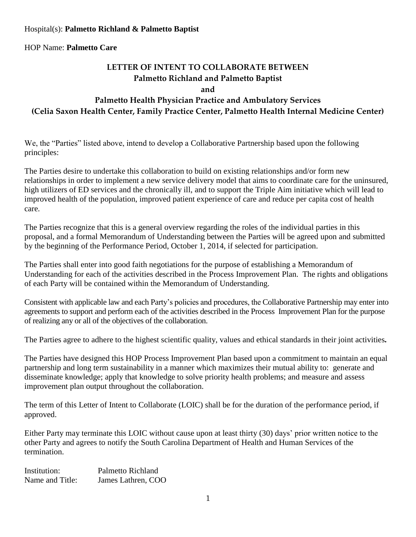## **LETTER OF INTENT TO COLLABORATE BETWEEN Palmetto Richland and Palmetto Baptist**

**and** 

#### **Palmetto Health Physician Practice and Ambulatory Services (Celia Saxon Health Center, Family Practice Center, Palmetto Health Internal Medicine Center)**

We, the "Parties" listed above, intend to develop a Collaborative Partnership based upon the following principles:

The Parties desire to undertake this collaboration to build on existing relationships and/or form new relationships in order to implement a new service delivery model that aims to coordinate care for the uninsured, high utilizers of ED services and the chronically ill, and to support the Triple Aim initiative which will lead to improved health of the population, improved patient experience of care and reduce per capita cost of health care.

The Parties recognize that this is a general overview regarding the roles of the individual parties in this proposal, and a formal Memorandum of Understanding between the Parties will be agreed upon and submitted by the beginning of the Performance Period, October 1, 2014, if selected for participation.

The Parties shall enter into good faith negotiations for the purpose of establishing a Memorandum of Understanding for each of the activities described in the Process Improvement Plan. The rights and obligations of each Party will be contained within the Memorandum of Understanding.

Consistent with applicable law and each Party's policies and procedures, the Collaborative Partnership may enter into agreements to support and perform each of the activities described in the Process Improvement Plan for the purpose of realizing any or all of the objectives of the collaboration.

The Parties agree to adhere to the highest scientific quality, values and ethical standards in their joint activities*.* 

The Parties have designed this HOP Process Improvement Plan based upon a commitment to maintain an equal partnership and long term sustainability in a manner which maximizes their mutual ability to: generate and disseminate knowledge; apply that knowledge to solve priority health problems; and measure and assess improvement plan output throughout the collaboration.

The term of this Letter of Intent to Collaborate (LOIC) shall be for the duration of the performance period, if approved.

Either Party may terminate this LOIC without cause upon at least thirty (30) days' prior written notice to the other Party and agrees to notify the South Carolina Department of Health and Human Services of the termination.

Institution: Palmetto Richland Name and Title: James Lathren, COO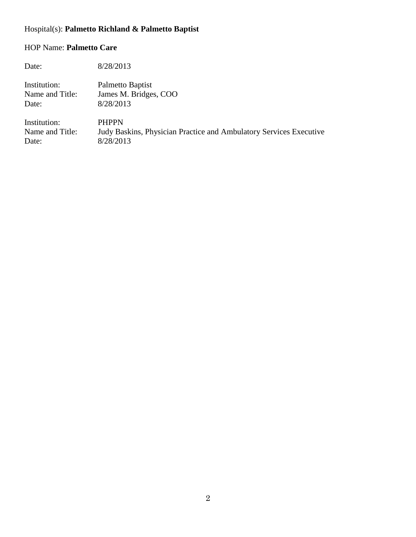| Date:           | 8/28/2013                                                          |
|-----------------|--------------------------------------------------------------------|
| Institution:    | Palmetto Baptist                                                   |
| Name and Title: | James M. Bridges, COO                                              |
| Date:           | 8/28/2013                                                          |
| Institution:    | <b>PHPPN</b>                                                       |
| Name and Title: | Judy Baskins, Physician Practice and Ambulatory Services Executive |
| Date:           | 8/28/2013                                                          |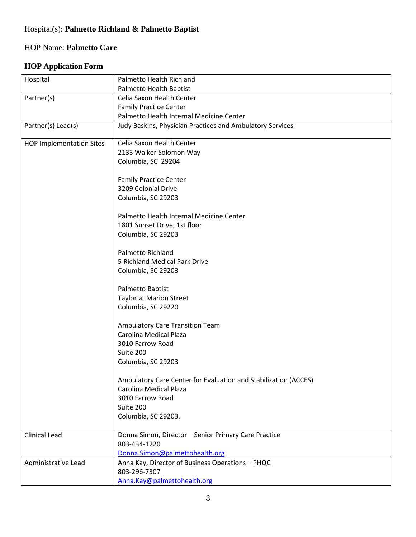#### **HOP Application Form**

| Hospital                        | Palmetto Health Richland                                        |
|---------------------------------|-----------------------------------------------------------------|
|                                 | Palmetto Health Baptist                                         |
| Partner(s)                      | Celia Saxon Health Center                                       |
|                                 | <b>Family Practice Center</b>                                   |
|                                 | Palmetto Health Internal Medicine Center                        |
| Partner(s) Lead(s)              | Judy Baskins, Physician Practices and Ambulatory Services       |
| <b>HOP Implementation Sites</b> | Celia Saxon Health Center                                       |
|                                 | 2133 Walker Solomon Way                                         |
|                                 | Columbia, SC 29204                                              |
|                                 | <b>Family Practice Center</b>                                   |
|                                 | 3209 Colonial Drive                                             |
|                                 | Columbia, SC 29203                                              |
|                                 |                                                                 |
|                                 | Palmetto Health Internal Medicine Center                        |
|                                 | 1801 Sunset Drive, 1st floor                                    |
|                                 | Columbia, SC 29203                                              |
|                                 | Palmetto Richland                                               |
|                                 | 5 Richland Medical Park Drive                                   |
|                                 | Columbia, SC 29203                                              |
|                                 | Palmetto Baptist                                                |
|                                 | <b>Taylor at Marion Street</b>                                  |
|                                 | Columbia, SC 29220                                              |
|                                 |                                                                 |
|                                 | Ambulatory Care Transition Team                                 |
|                                 | Carolina Medical Plaza                                          |
|                                 | 3010 Farrow Road                                                |
|                                 | Suite 200                                                       |
|                                 | Columbia, SC 29203                                              |
|                                 | Ambulatory Care Center for Evaluation and Stabilization (ACCES) |
|                                 | Carolina Medical Plaza                                          |
|                                 | 3010 Farrow Road                                                |
|                                 | Suite 200                                                       |
|                                 | Columbia, SC 29203.                                             |
|                                 |                                                                 |
| <b>Clinical Lead</b>            | Donna Simon, Director - Senior Primary Care Practice            |
|                                 | 803-434-1220                                                    |
|                                 | Donna.Simon@palmettohealth.org                                  |
| Administrative Lead             | Anna Kay, Director of Business Operations - PHQC                |
|                                 | 803-296-7307                                                    |
|                                 | Anna.Kay@palmettohealth.org                                     |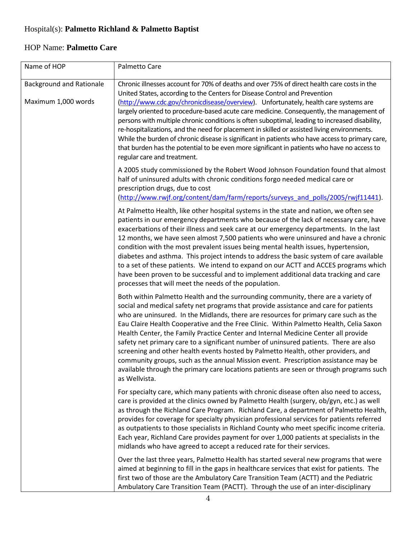| Name of HOP                                            | Palmetto Care                                                                                                                                                                                                                                                                                                                                                                                                                                                                                                                                                                                                                                                                                                                                                                                                                     |
|--------------------------------------------------------|-----------------------------------------------------------------------------------------------------------------------------------------------------------------------------------------------------------------------------------------------------------------------------------------------------------------------------------------------------------------------------------------------------------------------------------------------------------------------------------------------------------------------------------------------------------------------------------------------------------------------------------------------------------------------------------------------------------------------------------------------------------------------------------------------------------------------------------|
| <b>Background and Rationale</b><br>Maximum 1,000 words | Chronic illnesses account for 70% of deaths and over 75% of direct health care costs in the<br>United States, according to the Centers for Disease Control and Prevention<br>(http://www.cdc.gov/chronicdisease/overview). Unfortunately, health care systems are<br>largely oriented to procedure-based acute care medicine. Consequently, the management of<br>persons with multiple chronic conditions is often suboptimal, leading to increased disability,<br>re-hospitalizations, and the need for placement in skilled or assisted living environments.<br>While the burden of chronic disease is significant in patients who have access to primary care,<br>that burden has the potential to be even more significant in patients who have no access to<br>regular care and treatment.                                   |
|                                                        | A 2005 study commissioned by the Robert Wood Johnson Foundation found that almost<br>half of uninsured adults with chronic conditions forgo needed medical care or<br>prescription drugs, due to cost<br>(http://www.rwjf.org/content/dam/farm/reports/surveys and polls/2005/rwjf11441).                                                                                                                                                                                                                                                                                                                                                                                                                                                                                                                                         |
|                                                        | At Palmetto Health, like other hospital systems in the state and nation, we often see<br>patients in our emergency departments who because of the lack of necessary care, have<br>exacerbations of their illness and seek care at our emergency departments. In the last<br>12 months, we have seen almost 7,500 patients who were uninsured and have a chronic<br>condition with the most prevalent issues being mental health issues, hypertension,<br>diabetes and asthma. This project intends to address the basic system of care available<br>to a set of these patients. We intend to expand on our ACTT and ACCES programs which<br>have been proven to be successful and to implement additional data tracking and care<br>processes that will meet the needs of the population.                                         |
|                                                        | Both within Palmetto Health and the surrounding community, there are a variety of<br>social and medical safety net programs that provide assistance and care for patients<br>who are uninsured. In the Midlands, there are resources for primary care such as the<br>Eau Claire Health Cooperative and the Free Clinic. Within Palmetto Health, Celia Saxon<br>Health Center, the Family Practice Center and Internal Medicine Center all provide<br>safety net primary care to a significant number of uninsured patients. There are also<br>screening and other health events hosted by Palmetto Health, other providers, and<br>community groups, such as the annual Mission event. Prescription assistance may be<br>available through the primary care locations patients are seen or through programs such<br>as Wellvista. |
|                                                        | For specialty care, which many patients with chronic disease often also need to access,<br>care is provided at the clinics owned by Palmetto Health (surgery, ob/gyn, etc.) as well<br>as through the Richland Care Program. Richland Care, a department of Palmetto Health,<br>provides for coverage for specialty physician professional services for patients referred<br>as outpatients to those specialists in Richland County who meet specific income criteria.<br>Each year, Richland Care provides payment for over 1,000 patients at specialists in the<br>midlands who have agreed to accept a reduced rate for their services.                                                                                                                                                                                        |
|                                                        | Over the last three years, Palmetto Health has started several new programs that were<br>aimed at beginning to fill in the gaps in healthcare services that exist for patients. The<br>first two of those are the Ambulatory Care Transition Team (ACTT) and the Pediatric<br>Ambulatory Care Transition Team (PACTT). Through the use of an inter-disciplinary                                                                                                                                                                                                                                                                                                                                                                                                                                                                   |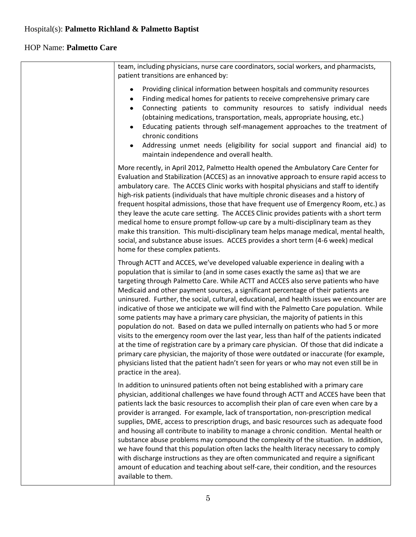T

# HOP Name: **Palmetto Care**

 $\mathsf{r}$ 

| team, including physicians, nurse care coordinators, social workers, and pharmacists,<br>patient transitions are enhanced by:                                                                                                                                                                                                                                                                                                                                                                                                                                                                                                                                                                                                                                                                                                                                                                                                                                                                                                                                                                                                  |
|--------------------------------------------------------------------------------------------------------------------------------------------------------------------------------------------------------------------------------------------------------------------------------------------------------------------------------------------------------------------------------------------------------------------------------------------------------------------------------------------------------------------------------------------------------------------------------------------------------------------------------------------------------------------------------------------------------------------------------------------------------------------------------------------------------------------------------------------------------------------------------------------------------------------------------------------------------------------------------------------------------------------------------------------------------------------------------------------------------------------------------|
| Providing clinical information between hospitals and community resources<br>$\bullet$<br>Finding medical homes for patients to receive comprehensive primary care<br>٠<br>Connecting patients to community resources to satisfy individual needs<br>$\bullet$<br>(obtaining medications, transportation, meals, appropriate housing, etc.)<br>Educating patients through self-management approaches to the treatment of<br>$\bullet$<br>chronic conditions<br>Addressing unmet needs (eligibility for social support and financial aid) to<br>$\bullet$<br>maintain independence and overall health.                                                                                                                                                                                                                                                                                                                                                                                                                                                                                                                           |
| More recently, in April 2012, Palmetto Health opened the Ambulatory Care Center for<br>Evaluation and Stabilization (ACCES) as an innovative approach to ensure rapid access to<br>ambulatory care. The ACCES Clinic works with hospital physicians and staff to identify<br>high-risk patients (individuals that have multiple chronic diseases and a history of<br>frequent hospital admissions, those that have frequent use of Emergency Room, etc.) as<br>they leave the acute care setting. The ACCES Clinic provides patients with a short term<br>medical home to ensure prompt follow-up care by a multi-disciplinary team as they<br>make this transition. This multi-disciplinary team helps manage medical, mental health,<br>social, and substance abuse issues. ACCES provides a short term (4-6 week) medical<br>home for these complex patients.                                                                                                                                                                                                                                                               |
| Through ACTT and ACCES, we've developed valuable experience in dealing with a<br>population that is similar to (and in some cases exactly the same as) that we are<br>targeting through Palmetto Care. While ACTT and ACCES also serve patients who have<br>Medicaid and other payment sources, a significant percentage of their patients are<br>uninsured. Further, the social, cultural, educational, and health issues we encounter are<br>indicative of those we anticipate we will find with the Palmetto Care population. While<br>some patients may have a primary care physician, the majority of patients in this<br>population do not. Based on data we pulled internally on patients who had 5 or more<br>visits to the emergency room over the last year, less than half of the patients indicated<br>at the time of registration care by a primary care physician. Of those that did indicate a<br>primary care physician, the majority of those were outdated or inaccurate (for example,<br>physicians listed that the patient hadn't seen for years or who may not even still be in<br>practice in the area). |
| In addition to uninsured patients often not being established with a primary care<br>physician, additional challenges we have found through ACTT and ACCES have been that<br>patients lack the basic resources to accomplish their plan of care even when care by a<br>provider is arranged. For example, lack of transportation, non-prescription medical<br>supplies, DME, access to prescription drugs, and basic resources such as adequate food<br>and housing all contribute to inability to manage a chronic condition. Mental health or<br>substance abuse problems may compound the complexity of the situation. In addition,<br>we have found that this population often lacks the health literacy necessary to comply<br>with discharge instructions as they are often communicated and require a significant<br>amount of education and teaching about self-care, their condition, and the resources<br>available to them.                                                                                                                                                                                         |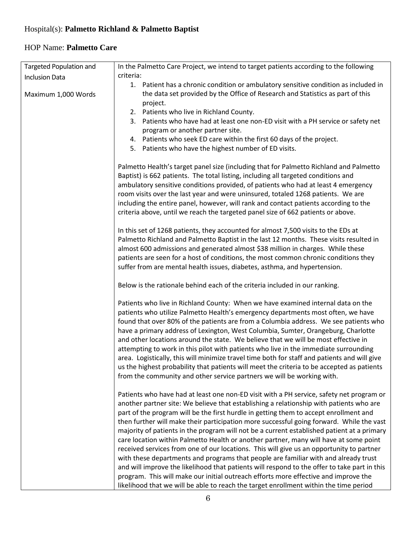| Targeted Population and | In the Palmetto Care Project, we intend to target patients according to the following                                                                                               |  |
|-------------------------|-------------------------------------------------------------------------------------------------------------------------------------------------------------------------------------|--|
| <b>Inclusion Data</b>   | criteria:                                                                                                                                                                           |  |
|                         | 1. Patient has a chronic condition or ambulatory sensitive condition as included in                                                                                                 |  |
| Maximum 1,000 Words     | the data set provided by the Office of Research and Statistics as part of this                                                                                                      |  |
|                         | project.                                                                                                                                                                            |  |
|                         | 2. Patients who live in Richland County.                                                                                                                                            |  |
|                         | 3. Patients who have had at least one non-ED visit with a PH service or safety net                                                                                                  |  |
|                         | program or another partner site.                                                                                                                                                    |  |
|                         | 4. Patients who seek ED care within the first 60 days of the project.                                                                                                               |  |
|                         | 5. Patients who have the highest number of ED visits.                                                                                                                               |  |
|                         | Palmetto Health's target panel size (including that for Palmetto Richland and Palmetto                                                                                              |  |
|                         | Baptist) is 662 patients. The total listing, including all targeted conditions and                                                                                                  |  |
|                         | ambulatory sensitive conditions provided, of patients who had at least 4 emergency                                                                                                  |  |
|                         | room visits over the last year and were uninsured, totaled 1268 patients. We are                                                                                                    |  |
|                         | including the entire panel, however, will rank and contact patients according to the                                                                                                |  |
|                         | criteria above, until we reach the targeted panel size of 662 patients or above.                                                                                                    |  |
|                         |                                                                                                                                                                                     |  |
|                         | In this set of 1268 patients, they accounted for almost 7,500 visits to the EDs at                                                                                                  |  |
|                         | Palmetto Richland and Palmetto Baptist in the last 12 months. These visits resulted in                                                                                              |  |
|                         | almost 600 admissions and generated almost \$38 million in charges. While these                                                                                                     |  |
|                         | patients are seen for a host of conditions, the most common chronic conditions they                                                                                                 |  |
|                         | suffer from are mental health issues, diabetes, asthma, and hypertension.                                                                                                           |  |
|                         | Below is the rationale behind each of the criteria included in our ranking.                                                                                                         |  |
|                         | Patients who live in Richland County: When we have examined internal data on the                                                                                                    |  |
|                         | patients who utilize Palmetto Health's emergency departments most often, we have                                                                                                    |  |
|                         | found that over 80% of the patients are from a Columbia address. We see patients who                                                                                                |  |
|                         | have a primary address of Lexington, West Columbia, Sumter, Orangeburg, Charlotte                                                                                                   |  |
|                         | and other locations around the state. We believe that we will be most effective in                                                                                                  |  |
|                         | attempting to work in this pilot with patients who live in the immediate surrounding                                                                                                |  |
|                         | area. Logistically, this will minimize travel time both for staff and patients and will give                                                                                        |  |
|                         | us the highest probability that patients will meet the criteria to be accepted as patients                                                                                          |  |
|                         | from the community and other service partners we will be working with.                                                                                                              |  |
|                         |                                                                                                                                                                                     |  |
|                         | Patients who have had at least one non-ED visit with a PH service, safety net program or<br>another partner site: We believe that establishing a relationship with patients who are |  |
|                         | part of the program will be the first hurdle in getting them to accept enrollment and                                                                                               |  |
|                         | then further will make their participation more successful going forward. While the vast                                                                                            |  |
|                         | majority of patients in the program will not be a current established patient at a primary                                                                                          |  |
|                         | care location within Palmetto Health or another partner, many will have at some point                                                                                               |  |
|                         | received services from one of our locations. This will give us an opportunity to partner                                                                                            |  |
|                         | with these departments and programs that people are familiar with and already trust                                                                                                 |  |
|                         | and will improve the likelihood that patients will respond to the offer to take part in this                                                                                        |  |
|                         | program. This will make our initial outreach efforts more effective and improve the                                                                                                 |  |
|                         | likelihood that we will be able to reach the target enrollment within the time period                                                                                               |  |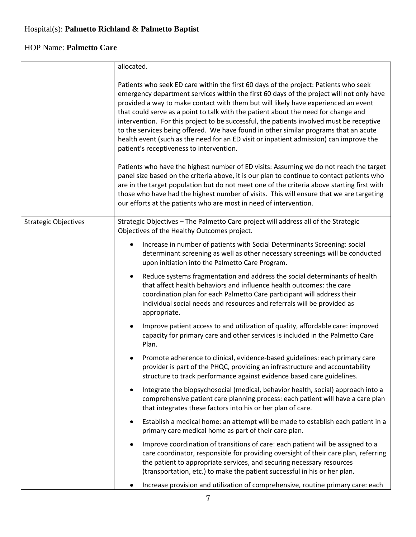|                             | allocated.                                                                                                                                                                                                                                                                                                                                                                                                                                                                                                                                                                                                                                                                                                                                                                                                                                                                                                                                                                                                                                                                                                                                   |  |  |
|-----------------------------|----------------------------------------------------------------------------------------------------------------------------------------------------------------------------------------------------------------------------------------------------------------------------------------------------------------------------------------------------------------------------------------------------------------------------------------------------------------------------------------------------------------------------------------------------------------------------------------------------------------------------------------------------------------------------------------------------------------------------------------------------------------------------------------------------------------------------------------------------------------------------------------------------------------------------------------------------------------------------------------------------------------------------------------------------------------------------------------------------------------------------------------------|--|--|
|                             | Patients who seek ED care within the first 60 days of the project: Patients who seek<br>emergency department services within the first 60 days of the project will not only have<br>provided a way to make contact with them but will likely have experienced an event<br>that could serve as a point to talk with the patient about the need for change and<br>intervention. For this project to be successful, the patients involved must be receptive<br>to the services being offered. We have found in other similar programs that an acute<br>health event (such as the need for an ED visit or inpatient admission) can improve the<br>patient's receptiveness to intervention.<br>Patients who have the highest number of ED visits: Assuming we do not reach the target<br>panel size based on the criteria above, it is our plan to continue to contact patients who<br>are in the target population but do not meet one of the criteria above starting first with<br>those who have had the highest number of visits. This will ensure that we are targeting<br>our efforts at the patients who are most in need of intervention. |  |  |
| <b>Strategic Objectives</b> | Strategic Objectives - The Palmetto Care project will address all of the Strategic                                                                                                                                                                                                                                                                                                                                                                                                                                                                                                                                                                                                                                                                                                                                                                                                                                                                                                                                                                                                                                                           |  |  |
|                             | Objectives of the Healthy Outcomes project.                                                                                                                                                                                                                                                                                                                                                                                                                                                                                                                                                                                                                                                                                                                                                                                                                                                                                                                                                                                                                                                                                                  |  |  |
|                             | Increase in number of patients with Social Determinants Screening: social<br>$\bullet$<br>determinant screening as well as other necessary screenings will be conducted<br>upon initiation into the Palmetto Care Program.                                                                                                                                                                                                                                                                                                                                                                                                                                                                                                                                                                                                                                                                                                                                                                                                                                                                                                                   |  |  |
|                             | Reduce systems fragmentation and address the social determinants of health<br>$\bullet$<br>that affect health behaviors and influence health outcomes: the care<br>coordination plan for each Palmetto Care participant will address their<br>individual social needs and resources and referrals will be provided as<br>appropriate.                                                                                                                                                                                                                                                                                                                                                                                                                                                                                                                                                                                                                                                                                                                                                                                                        |  |  |
|                             | Improve patient access to and utilization of quality, affordable care: improved<br>$\bullet$<br>capacity for primary care and other services is included in the Palmetto Care<br>Plan.                                                                                                                                                                                                                                                                                                                                                                                                                                                                                                                                                                                                                                                                                                                                                                                                                                                                                                                                                       |  |  |
|                             | Promote adherence to clinical, evidence-based guidelines: each primary care<br>٠<br>provider is part of the PHQC, providing an infrastructure and accountability<br>structure to track performance against evidence based care guidelines.                                                                                                                                                                                                                                                                                                                                                                                                                                                                                                                                                                                                                                                                                                                                                                                                                                                                                                   |  |  |
|                             | Integrate the biopsychosocial (medical, behavior health, social) approach into a<br>$\bullet$<br>comprehensive patient care planning process: each patient will have a care plan<br>that integrates these factors into his or her plan of care.                                                                                                                                                                                                                                                                                                                                                                                                                                                                                                                                                                                                                                                                                                                                                                                                                                                                                              |  |  |
|                             | Establish a medical home: an attempt will be made to establish each patient in a<br>٠<br>primary care medical home as part of their care plan.                                                                                                                                                                                                                                                                                                                                                                                                                                                                                                                                                                                                                                                                                                                                                                                                                                                                                                                                                                                               |  |  |
|                             | Improve coordination of transitions of care: each patient will be assigned to a<br>$\bullet$<br>care coordinator, responsible for providing oversight of their care plan, referring<br>the patient to appropriate services, and securing necessary resources<br>(transportation, etc.) to make the patient successful in his or her plan.                                                                                                                                                                                                                                                                                                                                                                                                                                                                                                                                                                                                                                                                                                                                                                                                    |  |  |
|                             | Increase provision and utilization of comprehensive, routine primary care: each<br>٠                                                                                                                                                                                                                                                                                                                                                                                                                                                                                                                                                                                                                                                                                                                                                                                                                                                                                                                                                                                                                                                         |  |  |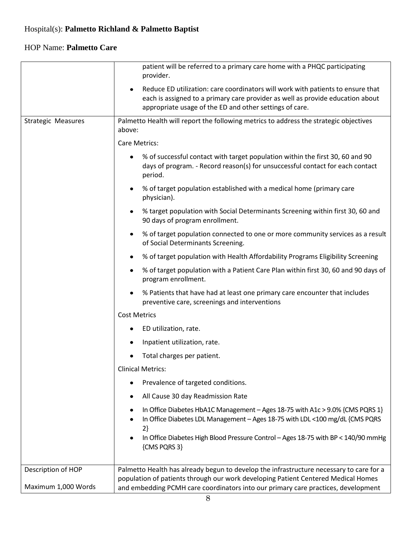|                           | patient will be referred to a primary care home with a PHQC participating<br>provider.                                                                                                                                                    |
|---------------------------|-------------------------------------------------------------------------------------------------------------------------------------------------------------------------------------------------------------------------------------------|
|                           | Reduce ED utilization: care coordinators will work with patients to ensure that<br>$\bullet$<br>each is assigned to a primary care provider as well as provide education about<br>appropriate usage of the ED and other settings of care. |
| <b>Strategic Measures</b> | Palmetto Health will report the following metrics to address the strategic objectives<br>above:                                                                                                                                           |
|                           | Care Metrics:                                                                                                                                                                                                                             |
|                           | % of successful contact with target population within the first 30, 60 and 90<br>٠<br>days of program. - Record reason(s) for unsuccessful contact for each contact<br>period.                                                            |
|                           | % of target population established with a medical home (primary care<br>٠<br>physician).                                                                                                                                                  |
|                           | % target population with Social Determinants Screening within first 30, 60 and<br>٠<br>90 days of program enrollment.                                                                                                                     |
|                           | % of target population connected to one or more community services as a result<br>$\bullet$<br>of Social Determinants Screening.                                                                                                          |
|                           | % of target population with Health Affordability Programs Eligibility Screening<br>٠                                                                                                                                                      |
|                           | % of target population with a Patient Care Plan within first 30, 60 and 90 days of<br>٠<br>program enrollment.                                                                                                                            |
|                           | % Patients that have had at least one primary care encounter that includes<br>٠<br>preventive care, screenings and interventions                                                                                                          |
|                           | <b>Cost Metrics</b>                                                                                                                                                                                                                       |
|                           | ED utilization, rate.<br>٠                                                                                                                                                                                                                |
|                           | Inpatient utilization, rate.<br>٠                                                                                                                                                                                                         |
|                           | Total charges per patient.                                                                                                                                                                                                                |
|                           | <b>Clinical Metrics:</b>                                                                                                                                                                                                                  |
|                           | Prevalence of targeted conditions.<br>٠                                                                                                                                                                                                   |
|                           | All Cause 30 day Readmission Rate                                                                                                                                                                                                         |
|                           | In Office Diabetes HbA1C Management - Ages 18-75 with A1c > 9.0% {CMS PQRS 1}<br>٠<br>In Office Diabetes LDL Management - Ages 18-75 with LDL <100 mg/dL {CMS PQRS<br>$2\}$                                                               |
|                           | In Office Diabetes High Blood Pressure Control - Ages 18-75 with BP < 140/90 mmHg<br>٠<br>{CMS PQRS 3}                                                                                                                                    |
| Description of HOP        | Palmetto Health has already begun to develop the infrastructure necessary to care for a                                                                                                                                                   |
| Maximum 1,000 Words       | population of patients through our work developing Patient Centered Medical Homes<br>and embedding PCMH care coordinators into our primary care practices, development                                                                    |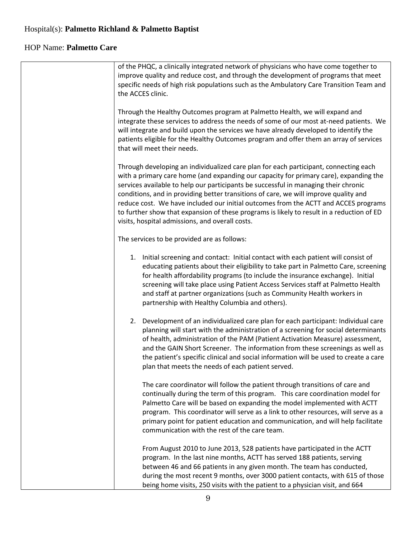| of the PHQC, a clinically integrated network of physicians who have come together to<br>improve quality and reduce cost, and through the development of programs that meet<br>specific needs of high risk populations such as the Ambulatory Care Transition Team and<br>the ACCES clinic.                                                                                                                                                                                                                                                                                                          |
|-----------------------------------------------------------------------------------------------------------------------------------------------------------------------------------------------------------------------------------------------------------------------------------------------------------------------------------------------------------------------------------------------------------------------------------------------------------------------------------------------------------------------------------------------------------------------------------------------------|
| Through the Healthy Outcomes program at Palmetto Health, we will expand and<br>integrate these services to address the needs of some of our most at-need patients. We<br>will integrate and build upon the services we have already developed to identify the<br>patients eligible for the Healthy Outcomes program and offer them an array of services<br>that will meet their needs.                                                                                                                                                                                                              |
| Through developing an individualized care plan for each participant, connecting each<br>with a primary care home (and expanding our capacity for primary care), expanding the<br>services available to help our participants be successful in managing their chronic<br>conditions, and in providing better transitions of care, we will improve quality and<br>reduce cost. We have included our initial outcomes from the ACTT and ACCES programs<br>to further show that expansion of these programs is likely to result in a reduction of ED<br>visits, hospital admissions, and overall costs. |
| The services to be provided are as follows:                                                                                                                                                                                                                                                                                                                                                                                                                                                                                                                                                         |
| 1. Initial screening and contact: Initial contact with each patient will consist of<br>educating patients about their eligibility to take part in Palmetto Care, screening<br>for health affordability programs (to include the insurance exchange). Initial<br>screening will take place using Patient Access Services staff at Palmetto Health<br>and staff at partner organizations (such as Community Health workers in<br>partnership with Healthy Columbia and others).                                                                                                                       |
| 2. Development of an individualized care plan for each participant: Individual care<br>planning will start with the administration of a screening for social determinants<br>of health, administration of the PAM (Patient Activation Measure) assessment,<br>and the GAIN Short Screener. The information from these screenings as well as<br>the patient's specific clinical and social information will be used to create a care<br>plan that meets the needs of each patient served.                                                                                                            |
| The care coordinator will follow the patient through transitions of care and<br>continually during the term of this program. This care coordination model for<br>Palmetto Care will be based on expanding the model implemented with ACTT<br>program. This coordinator will serve as a link to other resources, will serve as a<br>primary point for patient education and communication, and will help facilitate<br>communication with the rest of the care team.                                                                                                                                 |
| From August 2010 to June 2013, 528 patients have participated in the ACTT<br>program. In the last nine months, ACTT has served 188 patients, serving<br>between 46 and 66 patients in any given month. The team has conducted,<br>during the most recent 9 months, over 3000 patient contacts, with 615 of those<br>being home visits, 250 visits with the patient to a physician visit, and 664                                                                                                                                                                                                    |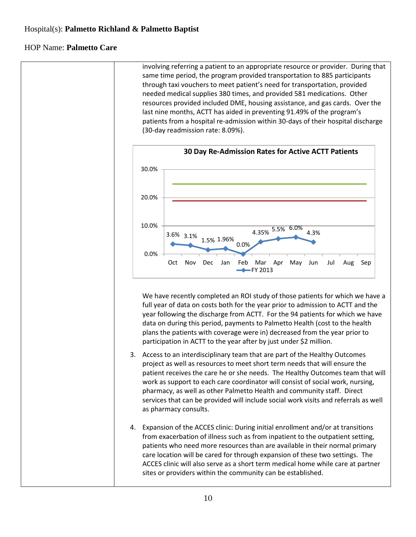involving referring a patient to an appropriate resource or provider. During that same time period, the program provided transportation to 885 participants through taxi vouchers to meet patient's need for transportation, provided needed medical supplies 380 times, and provided 581 medications. Other resources provided included DME, housing assistance, and gas cards. Over the last nine months, ACTT has aided in preventing 91.49% of the program's patients from a hospital re-admission within 30-days of their hospital discharge (30-day readmission rate: 8.09%).



We have recently completed an ROI study of those patients for which we have a full year of data on costs both for the year prior to admission to ACTT and the year following the discharge from ACTT. For the 94 patients for which we have data on during this period, payments to Palmetto Health (cost to the health plans the patients with coverage were in) decreased from the year prior to participation in ACTT to the year after by just under \$2 million.

- 3. Access to an interdisciplinary team that are part of the Healthy Outcomes project as well as resources to meet short term needs that will ensure the patient receives the care he or she needs. The Healthy Outcomes team that will work as support to each care coordinator will consist of social work, nursing, pharmacy, as well as other Palmetto Health and community staff. Direct services that can be provided will include social work visits and referrals as well as pharmacy consults.
- 4. Expansion of the ACCES clinic: During initial enrollment and/or at transitions from exacerbation of illness such as from inpatient to the outpatient setting, patients who need more resources than are available in their normal primary care location will be cared for through expansion of these two settings. The ACCES clinic will also serve as a short term medical home while care at partner sites or providers within the community can be established.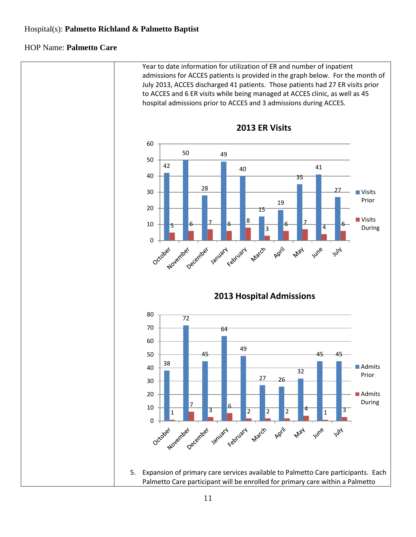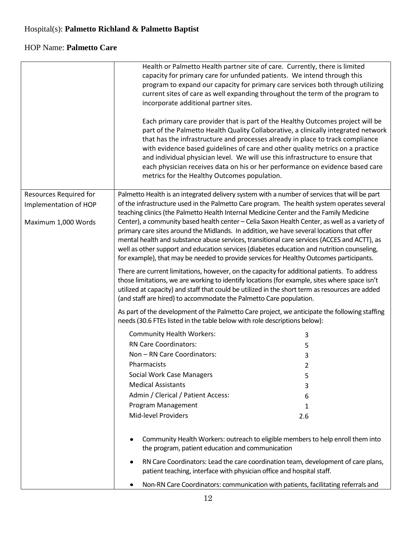|                        | incorporate additional partner sites.<br>metrics for the Healthy Outcomes population.                                                                                                                                                                                          | Health or Palmetto Health partner site of care. Currently, there is limited<br>capacity for primary care for unfunded patients. We intend through this<br>program to expand our capacity for primary care services both through utilizing<br>current sites of care as well expanding throughout the term of the program to<br>Each primary care provider that is part of the Healthy Outcomes project will be<br>part of the Palmetto Health Quality Collaborative, a clinically integrated network<br>that has the infrastructure and processes already in place to track compliance<br>with evidence based guidelines of care and other quality metrics on a practice<br>and individual physician level. We will use this infrastructure to ensure that<br>each physician receives data on his or her performance on evidence based care |
|------------------------|--------------------------------------------------------------------------------------------------------------------------------------------------------------------------------------------------------------------------------------------------------------------------------|--------------------------------------------------------------------------------------------------------------------------------------------------------------------------------------------------------------------------------------------------------------------------------------------------------------------------------------------------------------------------------------------------------------------------------------------------------------------------------------------------------------------------------------------------------------------------------------------------------------------------------------------------------------------------------------------------------------------------------------------------------------------------------------------------------------------------------------------|
| Resources Required for |                                                                                                                                                                                                                                                                                | Palmetto Health is an integrated delivery system with a number of services that will be part                                                                                                                                                                                                                                                                                                                                                                                                                                                                                                                                                                                                                                                                                                                                               |
| Implementation of HOP  |                                                                                                                                                                                                                                                                                | of the infrastructure used in the Palmetto Care program. The health system operates several                                                                                                                                                                                                                                                                                                                                                                                                                                                                                                                                                                                                                                                                                                                                                |
| Maximum 1,000 Words    | teaching clinics (the Palmetto Health Internal Medicine Center and the Family Medicine<br>primary care sites around the Midlands. In addition, we have several locations that offer<br>for example), that may be needed to provide services for Healthy Outcomes participants. | Center), a community based health center - Celia Saxon Health Center, as well as a variety of<br>mental health and substance abuse services, transitional care services (ACCES and ACTT), as<br>well as other support and education services (diabetes education and nutrition counseling,                                                                                                                                                                                                                                                                                                                                                                                                                                                                                                                                                 |
|                        | (and staff are hired) to accommodate the Palmetto Care population.                                                                                                                                                                                                             | There are current limitations, however, on the capacity for additional patients. To address<br>those limitations, we are working to identify locations (for example, sites where space isn't<br>utilized at capacity) and staff that could be utilized in the short term as resources are added                                                                                                                                                                                                                                                                                                                                                                                                                                                                                                                                            |
|                        | needs (30.6 FTEs listed in the table below with role descriptions below):                                                                                                                                                                                                      | As part of the development of the Palmetto Care project, we anticipate the following staffing                                                                                                                                                                                                                                                                                                                                                                                                                                                                                                                                                                                                                                                                                                                                              |
|                        | <b>Community Health Workers:</b>                                                                                                                                                                                                                                               | 3                                                                                                                                                                                                                                                                                                                                                                                                                                                                                                                                                                                                                                                                                                                                                                                                                                          |
|                        | <b>RN Care Coordinators:</b>                                                                                                                                                                                                                                                   | 5                                                                                                                                                                                                                                                                                                                                                                                                                                                                                                                                                                                                                                                                                                                                                                                                                                          |
|                        | Non - RN Care Coordinators:                                                                                                                                                                                                                                                    | 3                                                                                                                                                                                                                                                                                                                                                                                                                                                                                                                                                                                                                                                                                                                                                                                                                                          |
|                        | <b>Pharmacists</b>                                                                                                                                                                                                                                                             |                                                                                                                                                                                                                                                                                                                                                                                                                                                                                                                                                                                                                                                                                                                                                                                                                                            |
|                        | <b>Social Work Case Managers</b>                                                                                                                                                                                                                                               | 5                                                                                                                                                                                                                                                                                                                                                                                                                                                                                                                                                                                                                                                                                                                                                                                                                                          |
|                        | <b>Medical Assistants</b>                                                                                                                                                                                                                                                      | 3                                                                                                                                                                                                                                                                                                                                                                                                                                                                                                                                                                                                                                                                                                                                                                                                                                          |
|                        | Admin / Clerical / Patient Access:                                                                                                                                                                                                                                             | 6                                                                                                                                                                                                                                                                                                                                                                                                                                                                                                                                                                                                                                                                                                                                                                                                                                          |
|                        | Program Management                                                                                                                                                                                                                                                             | 1                                                                                                                                                                                                                                                                                                                                                                                                                                                                                                                                                                                                                                                                                                                                                                                                                                          |
|                        | <b>Mid-level Providers</b>                                                                                                                                                                                                                                                     | 2.6                                                                                                                                                                                                                                                                                                                                                                                                                                                                                                                                                                                                                                                                                                                                                                                                                                        |
|                        | the program, patient education and communication<br>٠                                                                                                                                                                                                                          | Community Health Workers: outreach to eligible members to help enroll them into<br>RN Care Coordinators: Lead the care coordination team, development of care plans,                                                                                                                                                                                                                                                                                                                                                                                                                                                                                                                                                                                                                                                                       |
|                        | patient teaching, interface with physician office and hospital staff.                                                                                                                                                                                                          | Non-RN Care Coordinators: communication with patients, facilitating referrals and                                                                                                                                                                                                                                                                                                                                                                                                                                                                                                                                                                                                                                                                                                                                                          |
|                        |                                                                                                                                                                                                                                                                                |                                                                                                                                                                                                                                                                                                                                                                                                                                                                                                                                                                                                                                                                                                                                                                                                                                            |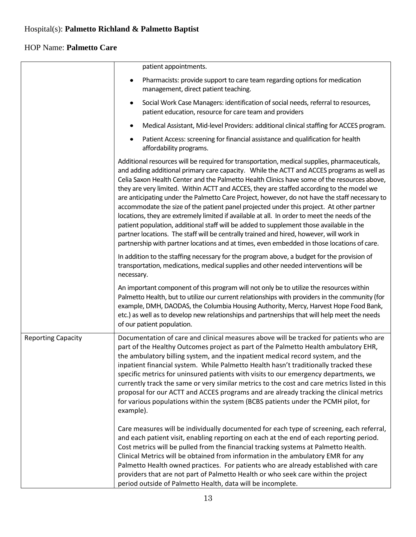|                           | patient appointments.                                                                                                                                                                                                                                                                                                                                                                                                                                                                                                                                                                                                                                                                                                                                                                                                                                                                                                                                                 |
|---------------------------|-----------------------------------------------------------------------------------------------------------------------------------------------------------------------------------------------------------------------------------------------------------------------------------------------------------------------------------------------------------------------------------------------------------------------------------------------------------------------------------------------------------------------------------------------------------------------------------------------------------------------------------------------------------------------------------------------------------------------------------------------------------------------------------------------------------------------------------------------------------------------------------------------------------------------------------------------------------------------|
|                           | Pharmacists: provide support to care team regarding options for medication<br>$\bullet$<br>management, direct patient teaching.                                                                                                                                                                                                                                                                                                                                                                                                                                                                                                                                                                                                                                                                                                                                                                                                                                       |
|                           | Social Work Case Managers: identification of social needs, referral to resources,<br>٠<br>patient education, resource for care team and providers                                                                                                                                                                                                                                                                                                                                                                                                                                                                                                                                                                                                                                                                                                                                                                                                                     |
|                           | Medical Assistant, Mid-level Providers: additional clinical staffing for ACCES program.<br>٠                                                                                                                                                                                                                                                                                                                                                                                                                                                                                                                                                                                                                                                                                                                                                                                                                                                                          |
|                           | Patient Access: screening for financial assistance and qualification for health<br>٠<br>affordability programs.                                                                                                                                                                                                                                                                                                                                                                                                                                                                                                                                                                                                                                                                                                                                                                                                                                                       |
|                           | Additional resources will be required for transportation, medical supplies, pharmaceuticals,<br>and adding additional primary care capacity. While the ACTT and ACCES programs as well as<br>Celia Saxon Health Center and the Palmetto Health Clinics have some of the resources above,<br>they are very limited. Within ACTT and ACCES, they are staffed according to the model we<br>are anticipating under the Palmetto Care Project, however, do not have the staff necessary to<br>accommodate the size of the patient panel projected under this project. At other partner<br>locations, they are extremely limited if available at all. In order to meet the needs of the<br>patient population, additional staff will be added to supplement those available in the<br>partner locations. The staff will be centrally trained and hired, however, will work in<br>partnership with partner locations and at times, even embedded in those locations of care. |
|                           | In addition to the staffing necessary for the program above, a budget for the provision of<br>transportation, medications, medical supplies and other needed interventions will be<br>necessary.                                                                                                                                                                                                                                                                                                                                                                                                                                                                                                                                                                                                                                                                                                                                                                      |
|                           | An important component of this program will not only be to utilize the resources within<br>Palmetto Health, but to utilize our current relationships with providers in the community (for<br>example, DMH, DAODAS, the Columbia Housing Authority, Mercy, Harvest Hope Food Bank,<br>etc.) as well as to develop new relationships and partnerships that will help meet the needs<br>of our patient population.                                                                                                                                                                                                                                                                                                                                                                                                                                                                                                                                                       |
| <b>Reporting Capacity</b> | Documentation of care and clinical measures above will be tracked for patients who are<br>part of the Healthy Outcomes project as part of the Palmetto Health ambulatory EHR,<br>the ambulatory billing system, and the inpatient medical record system, and the<br>inpatient financial system. While Palmetto Health hasn't traditionally tracked these<br>specific metrics for uninsured patients with visits to our emergency departments, we<br>currently track the same or very similar metrics to the cost and care metrics listed in this<br>proposal for our ACTT and ACCES programs and are already tracking the clinical metrics<br>for various populations within the system (BCBS patients under the PCMH pilot, for<br>example).                                                                                                                                                                                                                         |
|                           | Care measures will be individually documented for each type of screening, each referral,<br>and each patient visit, enabling reporting on each at the end of each reporting period.<br>Cost metrics will be pulled from the financial tracking systems at Palmetto Health.<br>Clinical Metrics will be obtained from information in the ambulatory EMR for any<br>Palmetto Health owned practices. For patients who are already established with care<br>providers that are not part of Palmetto Health or who seek care within the project<br>period outside of Palmetto Health, data will be incomplete.                                                                                                                                                                                                                                                                                                                                                            |